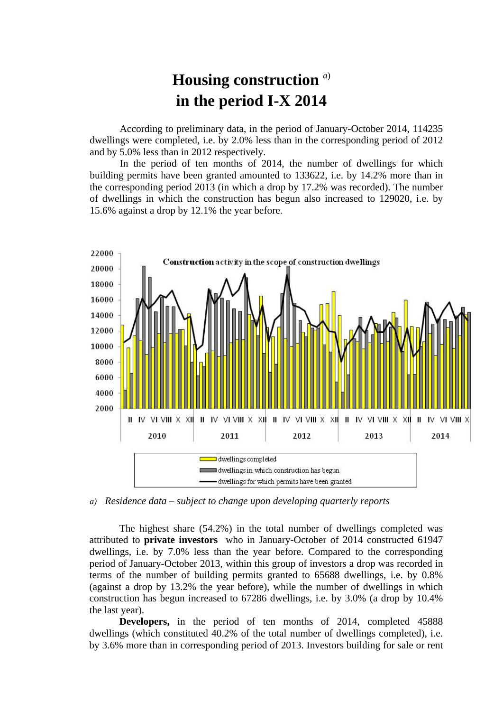## **Housing construction** *<sup>a</sup>*) **in the period I-X 2014**

According to preliminary data, in the period of January-October 2014, 114235 dwellings were completed, i.e. by 2.0% less than in the corresponding period of 2012 and by 5.0% less than in 2012 respectively.

In the period of ten months of 2014, the number of dwellings for which building permits have been granted amounted to 133622, i.e. by 14.2% more than in the corresponding period 2013 (in which a drop by 17.2% was recorded). The number of dwellings in which the construction has begun also increased to 129020, i.e. by 15.6% against a drop by 12.1% the year before.



*a) Residence data – subject to change upon developing quarterly reports*

The highest share (54.2%) in the total number of dwellings completed was attributed to **private investors** who in January-October of 2014 constructed 61947 dwellings, i.e. by 7.0% less than the year before. Compared to the corresponding period of January-October 2013, within this group of investors a drop was recorded in terms of the number of building permits granted to 65688 dwellings, i.e. by 0.8% (against a drop by 13.2% the year before), while the number of dwellings in which construction has begun increased to 67286 dwellings, i.e. by 3.0% (a drop by 10.4% the last year).

**Developers,** in the period of ten months of 2014, completed 45888 dwellings (which constituted 40.2% of the total number of dwellings completed), i.e. by 3.6% more than in corresponding period of 2013. Investors building for sale or rent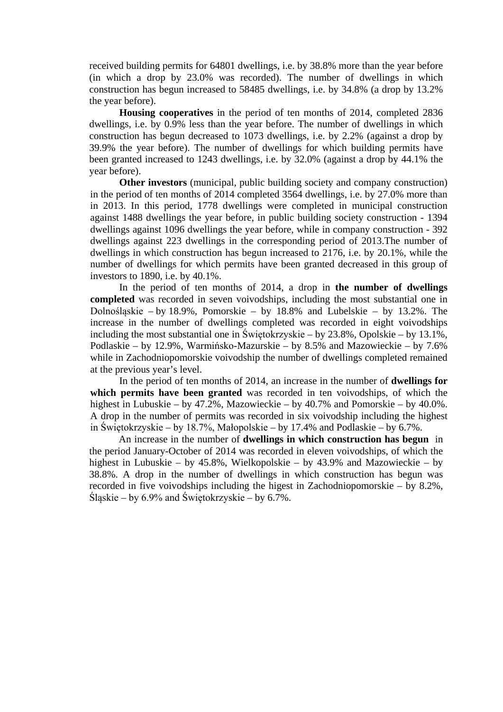received building permits for 64801 dwellings, i.e. by 38.8% more than the year before (in which a drop by 23.0% was recorded). The number of dwellings in which construction has begun increased to 58485 dwellings, i.e. by 34.8% (a drop by 13.2% the year before).

**Housing cooperatives** in the period of ten months of 2014, completed 2836 dwellings, i.e. by 0.9% less than the year before. The number of dwellings in which construction has begun decreased to 1073 dwellings, i.e. by 2.2% (against a drop by 39.9% the year before). The number of dwellings for which building permits have been granted increased to 1243 dwellings, i.e. by 32.0% (against a drop by 44.1% the year before).

**Other investors** (municipal, public building society and company construction) in the period of ten months of 2014 completed 3564 dwellings, i.e. by 27.0% more than in 2013. In this period, 1778 dwellings were completed in municipal construction against 1488 dwellings the year before, in public building society construction - 1394 dwellings against 1096 dwellings the year before, while in company construction - 392 dwellings against 223 dwellings in the corresponding period of 2013.The number of dwellings in which construction has begun increased to 2176, i.e. by 20.1%, while the number of dwellings for which permits have been granted decreased in this group of investors to 1890, i.e. by 40.1%.

In the period of ten months of 2014, a drop in **the number of dwellings completed** was recorded in seven voivodships, including the most substantial one in Dolnośląskie – by 18.9%, Pomorskie – by 18.8% and Lubelskie – by 13.2%. The increase in the number of dwellings completed was recorded in eight voivodships including the most substantial one in Świętokrzyskie – by 23.8%, Opolskie – by 13.1%, Podlaskie – by 12.9%, Warmińsko-Mazurskie – by 8.5% and Mazowieckie – by 7.6% while in Zachodniopomorskie voivodship the number of dwellings completed remained at the previous year's level.

In the period of ten months of 2014, an increase in the number of **dwellings for which permits have been granted** was recorded in ten voivodships, of which the highest in Lubuskie – by 47.2%, Mazowieckie – by 40.7% and Pomorskie – by 40.0%. A drop in the number of permits was recorded in six voivodship including the highest in Świętokrzyskie – by 18.7%, Małopolskie – by 17.4% and Podlaskie – by 6.7%.

An increase in the number of **dwellings in which construction has begun** in the period January-October of 2014 was recorded in eleven voivodships, of which the highest in Lubuskie – by 45.8%, Wielkopolskie – by 43.9% and Mazowieckie – by 38.8%. A drop in the number of dwellings in which construction has begun was recorded in five voivodships including the higest in Zachodniopomorskie – by 8.2%, Śląskie – by 6.9% and Świętokrzyskie – by 6.7%.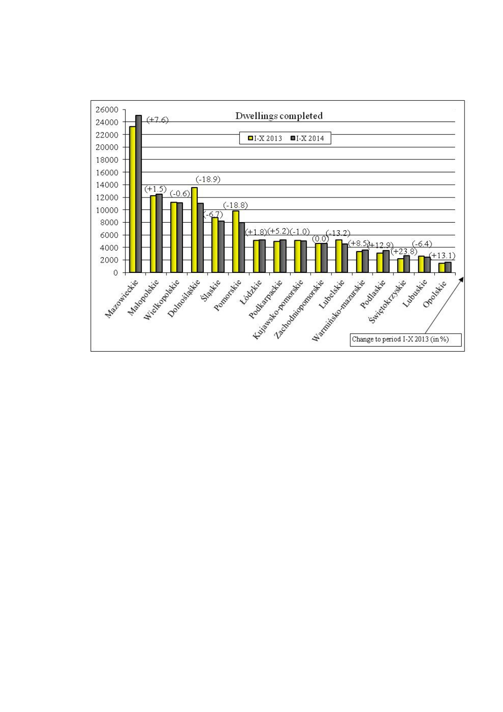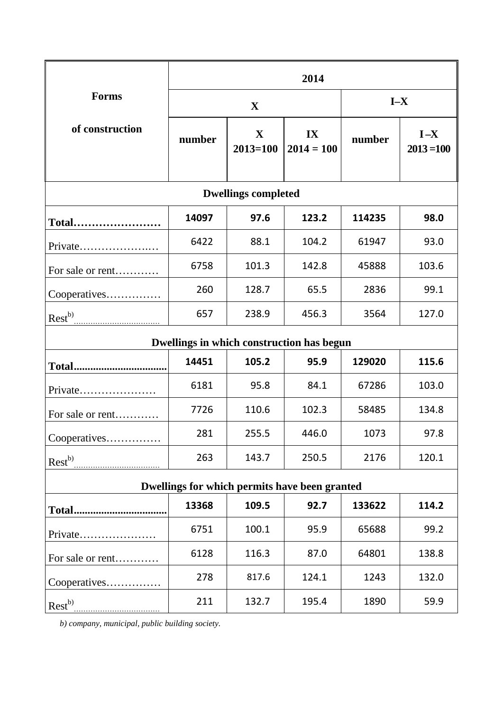|                                               | 2014        |                             |                    |        |                         |
|-----------------------------------------------|-------------|-----------------------------|--------------------|--------|-------------------------|
| <b>Forms</b><br>of construction               | $\mathbf X$ |                             |                    | $I-X$  |                         |
|                                               | number      | $\mathbf X$<br>$2013 = 100$ | IX<br>$2014 = 100$ | number | $I - X$<br>$2013 = 100$ |
| <b>Dwellings completed</b>                    |             |                             |                    |        |                         |
| Total                                         | 14097       | 97.6                        | 123.2              | 114235 | 98.0                    |
| Private                                       | 6422        | 88.1                        | 104.2              | 61947  | 93.0                    |
| For sale or rent                              | 6758        | 101.3                       | 142.8              | 45888  | 103.6                   |
| Cooperatives                                  | 260         | 128.7                       | 65.5               | 2836   | 99.1                    |
| $\text{Rest}^{b}$                             | 657         | 238.9                       | 456.3              | 3564   | 127.0                   |
| Dwellings in which construction has begun     |             |                             |                    |        |                         |
|                                               | 14451       | 105.2                       | 95.9               | 129020 | 115.6                   |
| Private                                       | 6181        | 95.8                        | 84.1               | 67286  | 103.0                   |
| For sale or rent                              | 7726        | 110.6                       | 102.3              | 58485  | 134.8                   |
| Cooperatives                                  | 281         | 255.5                       | 446.0              | 1073   | 97.8                    |
| $\text{Rest}^{b)}$                            | 263         | 143.7                       | 250.5              | 2176   | 120.1                   |
| Dwellings for which permits have been granted |             |                             |                    |        |                         |
|                                               | 13368       | 109.5                       | 92.7               | 133622 | 114.2                   |
| Private                                       | 6751        | 100.1                       | 95.9               | 65688  | 99.2                    |
| For sale or rent                              | 6128        | 116.3                       | 87.0               | 64801  | 138.8                   |
| Cooperatives                                  | 278         | 817.6                       | 124.1              | 1243   | 132.0                   |
|                                               | 211         | 132.7                       | 195.4              | 1890   | 59.9                    |

*b) company, municipal, public building society.*